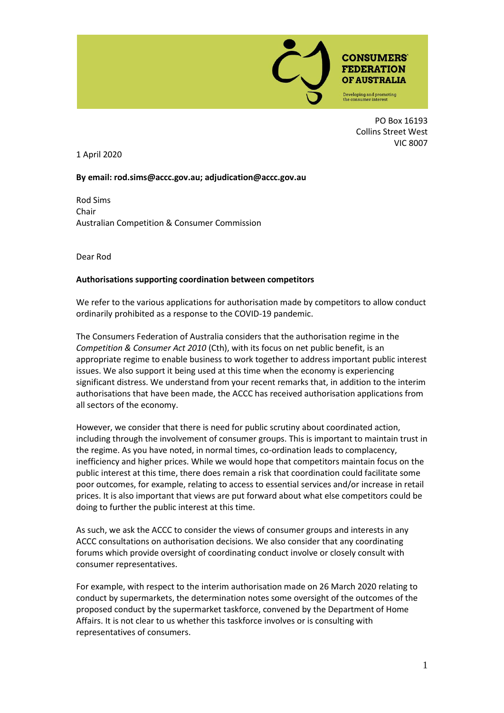

PO Box 16193 Collins Street West VIC 8007

1 April 2020

## **By email[: rod.sims@accc.gov.au;](mailto:rod.sims@accc.gov.au) adjudication@accc.gov.au**

Rod Sims Chair Australian Competition & Consumer Commission

Dear Rod

## **Authorisations supporting coordination between competitors**

We refer to the various applications for authorisation made by competitors to allow conduct ordinarily prohibited as a response to the COVID-19 pandemic.

The Consumers Federation of Australia considers that the authorisation regime in the *Competition & Consumer Act 2010* (Cth), with its focus on net public benefit, is an appropriate regime to enable business to work together to address important public interest issues. We also support it being used at this time when the economy is experiencing significant distress. We understand from your recent remarks that, in addition to the interim authorisations that have been made, the ACCC has received authorisation applications from all sectors of the economy.

However, we consider that there is need for public scrutiny about coordinated action, including through the involvement of consumer groups. This is important to maintain trust in the regime. As you have noted, in normal times, co-ordination leads to complacency, inefficiency and higher prices. While we would hope that competitors maintain focus on the public interest at this time, there does remain a risk that coordination could facilitate some poor outcomes, for example, relating to access to essential services and/or increase in retail prices. It is also important that views are put forward about what else competitors could be doing to further the public interest at this time.

As such, we ask the ACCC to consider the views of consumer groups and interests in any ACCC consultations on authorisation decisions. We also consider that any coordinating forums which provide oversight of coordinating conduct involve or closely consult with consumer representatives.

For example, with respect to the interim authorisation made on 26 March 2020 relating to conduct by supermarkets, the determination notes some oversight of the outcomes of the proposed conduct by the supermarket taskforce, convened by the Department of Home Affairs. It is not clear to us whether this taskforce involves or is consulting with representatives of consumers.